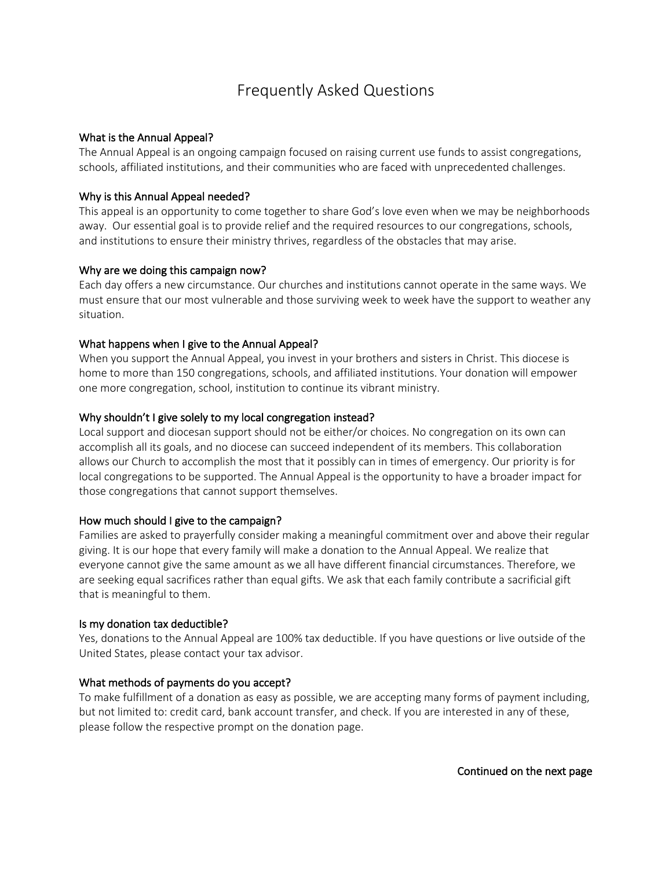# Frequently Asked Questions

# What is the Annual Appeal?

The Annual Appeal is an ongoing campaign focused on raising current use funds to assist congregations, schools, affiliated institutions, and their communities who are faced with unprecedented challenges.

## Why is this Annual Appeal needed?

This appeal is an opportunity to come together to share God's love even when we may be neighborhoods away. Our essential goal is to provide relief and the required resources to our congregations, schools, and institutions to ensure their ministry thrives, regardless of the obstacles that may arise.

#### Why are we doing this campaign now?

Each day offers a new circumstance. Our churches and institutions cannot operate in the same ways. We must ensure that our most vulnerable and those surviving week to week have the support to weather any situation.

#### What happens when I give to the Annual Appeal?

When you support the Annual Appeal, you invest in your brothers and sisters in Christ. This diocese is home to more than 150 congregations, schools, and affiliated institutions. Your donation will empower one more congregation, school, institution to continue its vibrant ministry.

#### Why shouldn't I give solely to my local congregation instead?

Local support and diocesan support should not be either/or choices. No congregation on its own can accomplish all its goals, and no diocese can succeed independent of its members. This collaboration allows our Church to accomplish the most that it possibly can in times of emergency. Our priority is for local congregations to be supported. The Annual Appeal is the opportunity to have a broader impact for those congregations that cannot support themselves.

# How much should I give to the campaign?

Families are asked to prayerfully consider making a meaningful commitment over and above their regular giving. It is our hope that every family will make a donation to the Annual Appeal. We realize that everyone cannot give the same amount as we all have different financial circumstances. Therefore, we are seeking equal sacrifices rather than equal gifts. We ask that each family contribute a sacrificial gift that is meaningful to them.

#### Is my donation tax deductible?

Yes, donations to the Annual Appeal are 100% tax deductible. If you have questions or live outside of the United States, please contact your tax advisor.

#### What methods of payments do you accept?

To make fulfillment of a donation as easy as possible, we are accepting many forms of payment including, but not limited to: credit card, bank account transfer, and check. If you are interested in any of these, please follow the respective prompt on the donation page.